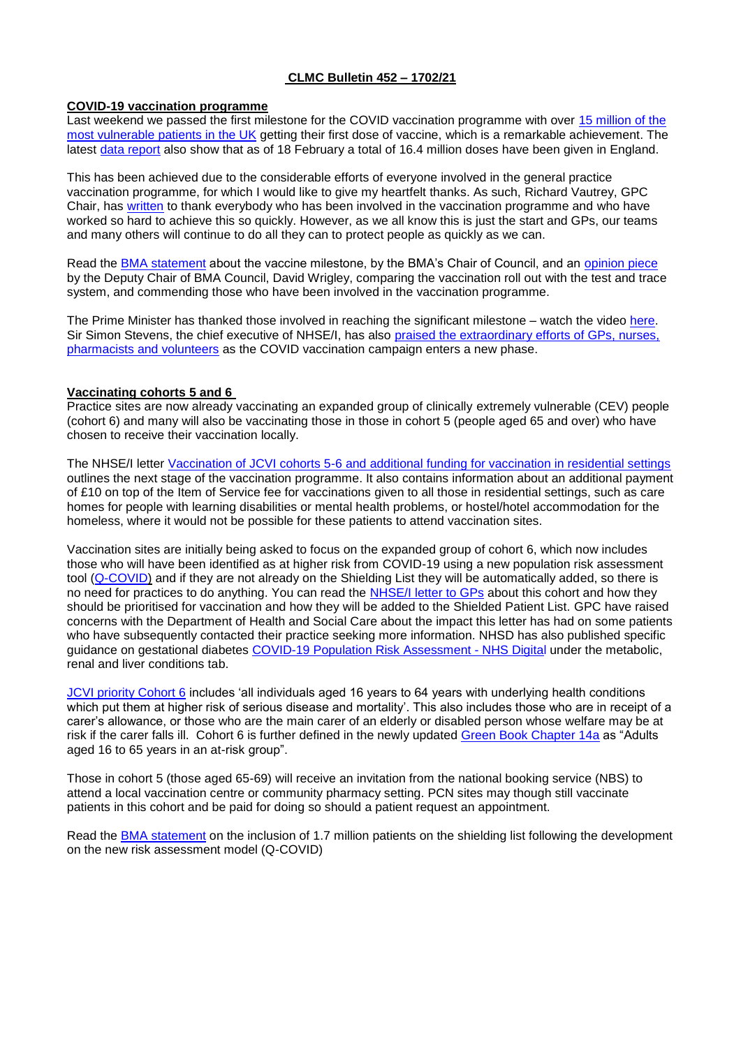# **CLMC Bulletin 452 – 1702/21**

#### **COVID-19 vaccination programme**

Last weekend we passed the first milestone for the COVID vaccination programme with over [15 million of the](https://coronavirus.data.gov.uk/details/vaccinations)  [most vulnerable patients in the UK](https://coronavirus.data.gov.uk/details/vaccinations) getting their first dose of vaccine, which is a remarkable achievement. The latest [data report](https://www.england.nhs.uk/statistics/statistical-work-areas/covid-19-vaccinations/) also show that as of 18 February a total of 16.4 million doses have been given in England.

This has been achieved due to the considerable efforts of everyone involved in the general practice vaccination programme, for which I would like to give my heartfelt thanks. As such, Richard Vautrey, GPC Chair, has [written](https://twitter.com/BMA_GP/status/1361356722158321683/photo/1) to thank everybody who has been involved in the vaccination programme and who have worked so hard to achieve this so quickly. However, as we all know this is just the start and GPs, our teams and many others will continue to do all they can to protect people as quickly as we can.

Read the [BMA statement](https://www.bma.org.uk/bma-media-centre/bma-immensely-proud-of-healthcare-workers-as-extraordinary-vaccine-milestone-is-reached) about the vaccine milestone, by the BMA's Chair of Council, and an [opinion piece](https://www.huffingtonpost.co.uk/entry/covid-vaccine-nhs_uk_602aafc8c5b680717ee9a83e) by the Deputy Chair of BMA Council, David Wrigley, comparing the vaccination roll out with the test and trace system, and commending those who have been involved in the vaccination programme.

The Prime Minister has thanked those involved in reaching the significant milestone – watch the video [here.](https://twitter.com/BorisJohnson/status/1360962200714764290) Sir Simon Stevens, the chief executive of NHSE/I, has also [praised the extraordinary efforts of GPs, nurses,](https://www.england.nhs.uk/2021/02/jabs-campaign-starts-new-phase/)  [pharmacists and volunteers](https://www.england.nhs.uk/2021/02/jabs-campaign-starts-new-phase/) as the COVID vaccination campaign enters a new phase.

### **Vaccinating cohorts 5 and 6**

Practice sites are now already vaccinating an expanded group of clinically extremely vulnerable (CEV) people (cohort 6) and many will also be vaccinating those in those in cohort 5 (people aged 65 and over) who have chosen to receive their vaccination locally.

The NHSE/I letter [Vaccination of JCVI cohorts 5-6 and additional funding for vaccination in residential settings](https://www.england.nhs.uk/coronavirus/publication/vaccination-of-jcvi-cohorts-5-6-and-additional-funding-for-vaccination-in-residential-settings/) outlines the next stage of the vaccination programme. It also contains information about an additional payment of £10 on top of the Item of Service fee for vaccinations given to all those in residential settings, such as care homes for people with learning disabilities or mental health problems, or hostel/hotel accommodation for the homeless, where it would not be possible for these patients to attend vaccination sites.

Vaccination sites are initially being asked to focus on the expanded group of cohort 6, which now includes those who will have been identified as at higher risk from COVID-19 using a new population risk assessment tool [\(Q-COVID\)](https://digital.nhs.uk/coronavirus/risk-assessment/population) and if they are not already on the Shielding List they will be automatically added, so there is no need for practices to do anything. You can read the [NHSE/I letter to GPs](https://www.england.nhs.uk/coronavirus/wp-content/uploads/sites/52/2020/03/C1099_-Letter-to-GPs-on-Risk-Tool-15-February.pdf) about this cohort and how they should be prioritised for vaccination and how they will be added to the Shielded Patient List. GPC have raised concerns with the Department of Health and Social Care about the impact this letter has had on some patients who have subsequently contacted their practice seeking more information. NHSD has also published specific guidance on gestational diabetes [COVID-19 Population Risk Assessment -](https://digital.nhs.uk/coronavirus/risk-assessment/population#health-conditions-and-treatments) NHS Digital under the metabolic, renal and liver conditions tab.

[JCVI priority Cohort 6](https://www.gov.uk/government/publications/priority-groups-for-coronavirus-covid-19-vaccination-advice-from-the-jcvi-30-december-2020/joint-committee-on-vaccination-and-immunisation-advice-on-priority-groups-for-covid-19-vaccination-30-december-2020) includes 'all individuals aged 16 years to 64 years with underlying health conditions which put them at higher risk of serious disease and mortality'. This also includes those who are in receipt of a carer's allowance, or those who are the main carer of an elderly or disabled person whose welfare may be at risk if the carer falls ill. Cohort 6 is further defined in the newly updated [Green Book Chapter 14a](https://assets.publishing.service.gov.uk/government/uploads/system/uploads/attachment_data/file/961287/Greenbook_chapter_14a_v7_12Feb2021.pdf) as "Adults aged 16 to 65 years in an at-risk group".

Those in cohort 5 (those aged 65-69) will receive an invitation from the national booking service (NBS) to attend a local vaccination centre or community pharmacy setting. PCN sites may though still vaccinate patients in this cohort and be paid for doing so should a patient request an appointment.

Read the [BMA statement](https://www.bma.org.uk/bma-media-centre/new-patients-identified-as-at-high-risk-must-receive-priority-vaccination-and-support-for-shielding-says-bma) on the inclusion of 1.7 million patients on the shielding list following the development on the new risk assessment model (Q-COVID)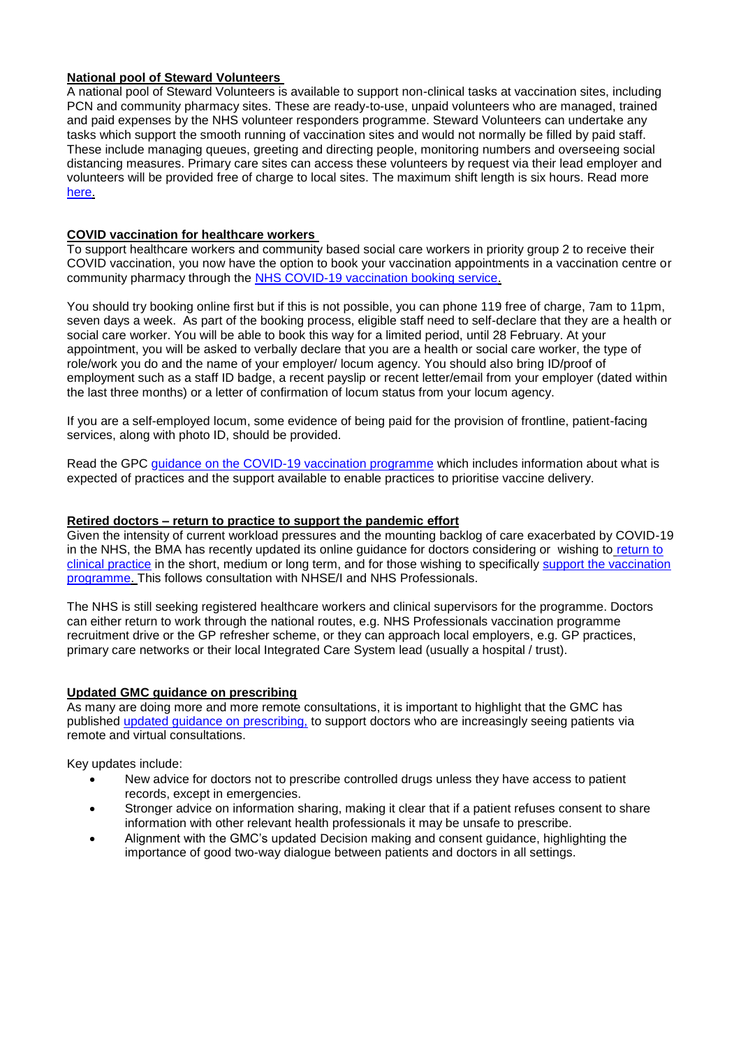## **National pool of Steward Volunteers**

A national pool of Steward Volunteers is available to support non-clinical tasks at vaccination sites, including PCN and community pharmacy sites. These are ready-to-use, unpaid volunteers who are managed, trained and paid expenses by the NHS volunteer responders programme. Steward Volunteers can undertake any tasks which support the smooth running of vaccination sites and would not normally be filled by paid staff. These include managing queues, greeting and directing people, monitoring numbers and overseeing social distancing measures. Primary care sites can access these volunteers by request via their lead employer and volunteers will be provided free of charge to local sites. The maximum shift length is six hours. Read more [here.](https://nhsvolunteerresponders.org.uk/faqs-for-nhs-volunteer-responders/steward-volunteer-questions?utm_source=The%20British%20Medical%20Association&utm_medium=email&utm_campaign=12173753_GP%20ENEWSLETTER%201802201&utm_content=steward%20volunteer&dm_t=0,0,0,0,0)

# **COVID vaccination for healthcare workers**

To support healthcare workers and community based social care workers in priority group 2 to receive their COVID vaccination, you now have the option to book your vaccination appointments in a vaccination centre or community pharmacy through the [NHS COVID-19 vaccination booking service.](https://www.nhs.uk/conditions/coronavirus-covid-19/coronavirus-vaccination/)

You should try booking online first but if this is not possible, you can phone 119 free of charge, 7am to 11pm, seven days a week. As part of the booking process, eligible staff need to self-declare that they are a health or social care worker. You will be able to book this way for a limited period, until 28 February. At your appointment, you will be asked to verbally declare that you are a health or social care worker, the type of role/work you do and the name of your employer/ locum agency. You should also bring ID/proof of employment such as a staff ID badge, a recent payslip or recent letter/email from your employer (dated within the last three months) or a letter of confirmation of locum status from your locum agency.

If you are a self-employed locum, some evidence of being paid for the provision of frontline, patient-facing services, along with photo ID, should be provided.

Read the GPC [guidance on the COVID-19 vaccination programme](https://www.bma.org.uk/advice-and-support/covid-19/gp-practices/covid-19-vaccination-programme) which includes information about what is expected of practices and the support available to enable practices to prioritise vaccine delivery.

## **Retired doctors – return to practice to support the pandemic effort**

Given the intensity of current workload pressures and the mounting backlog of care exacerbated by COVID-19 in the NHS, the BMA has recently updated its online guidance for doctors considering or wishing to [return to](https://www.bma.org.uk/advice-and-support/covid-19/returning-to-the-nhs-or-starting-a-new-role/covid-19-retired-doctors-returning-to-work)  [clinical practice](https://www.bma.org.uk/advice-and-support/covid-19/returning-to-the-nhs-or-starting-a-new-role/covid-19-retired-doctors-returning-to-work) in the short, medium or long term, and for those wishing to specifically support the vaccination [programme.](https://www.bma.org.uk/advice-and-support/covid-19/vaccines/covid-19-vaccination-programme-extra-workforce) This follows consultation with NHSE/I and NHS Professionals.

The NHS is still seeking registered healthcare workers and clinical supervisors for the programme. Doctors can either return to work through the national routes, e.g. NHS Professionals vaccination programme recruitment drive or the GP refresher scheme, or they can approach local employers, e.g. GP practices, primary care networks or their local Integrated Care System lead (usually a hospital / trust).

# **Updated GMC guidance on prescribing**

As many are doing more and more remote consultations, it is important to highlight that the GMC has published [updated guidance on prescribing,](https://www.gmc-uk.org/-/media/documents/prescribing-guidance-before-cie_pdf-85470847.pdf?la=en&hash=EBC2C2FCDD5F7481667629E891F4BFB8A792F59D) to support doctors who are increasingly seeing patients via remote and virtual consultations.

Key updates include:

- New advice for doctors not to prescribe controlled drugs unless they have access to patient records, except in emergencies.
- Stronger advice on information sharing, making it clear that if a patient refuses consent to share information with other relevant health professionals it may be unsafe to prescribe.
- Alignment with the GMC's updated Decision making and consent guidance, highlighting the importance of good two-way dialogue between patients and doctors in all settings.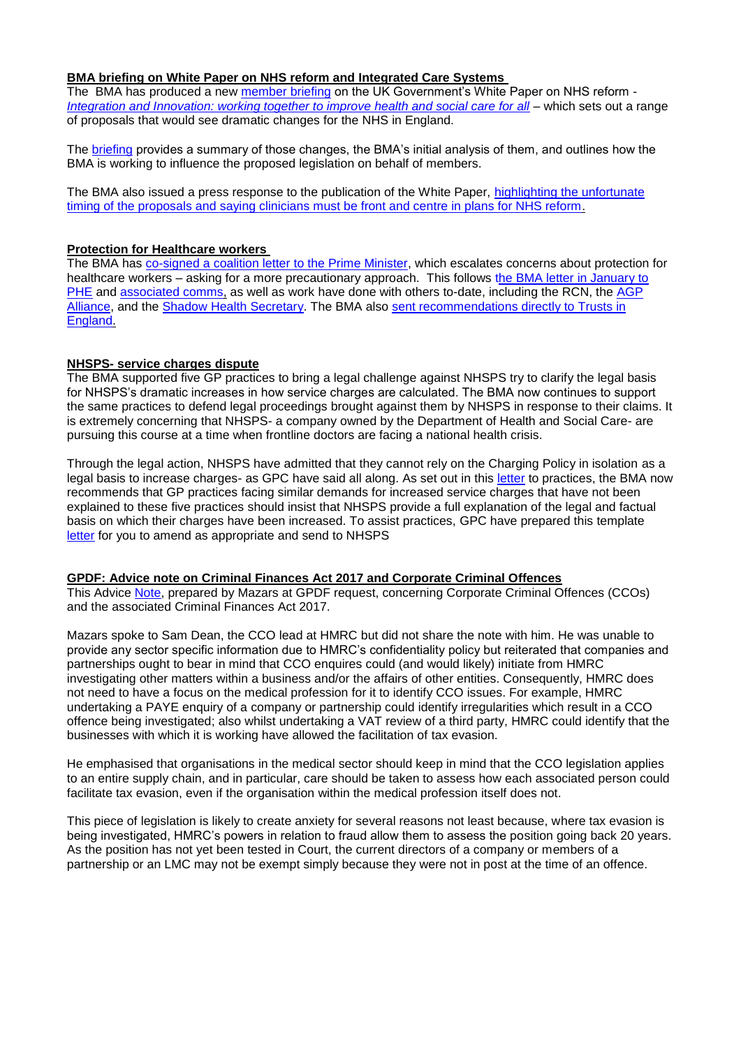## **BMA briefing on White Paper on NHS reform and Integrated Care Systems**

The BMA has produced a new [member briefing](https://www.bma.org.uk/media/3814/bma-member-briefing-gov-nhs-reform-feb-2021.pdf) on the UK Government's White Paper on NHS reform -*[Integration and Innovation: working together to improve health and social care for all](https://assets.publishing.service.gov.uk/government/uploads/system/uploads/attachment_data/file/960548/integration-and-innovation-working-together-to-improve-health-and-social-care-for-all-web-version.pdf)* – which sets out a range of proposals that would see dramatic changes for the NHS in England.

The [briefing](https://www.bma.org.uk/media/3814/bma-member-briefing-gov-nhs-reform-feb-2021.pdf) provides a summary of those changes, the BMA's initial analysis of them, and outlines how the BMA is working to influence the proposed legislation on behalf of members.

The BMA also issued a press response to the publication of the White Paper, [highlighting the unfortunate](https://www.bma.org.uk/bma-media-centre/clinicians-must-be-front-and-centre-in-plans-for-nhs-reform-says-bma)  [timing of the proposals and saying clinicians must be front and centre in plans for NHS reform.](https://www.bma.org.uk/bma-media-centre/clinicians-must-be-front-and-centre-in-plans-for-nhs-reform-says-bma)

### **Protection for Healthcare workers**

The BMA has [co-signed a coalition letter to the Prime Minister,](https://www.rcn.org.uk/about-us/our-influencing-work/open-letters/Letter-to-the-Prime-Minister-on-protecting-health-care-workers-190221) which escalates concerns about protection for healthcare workers – asking for a more precautionary approach. This follows the BMA letter in January to [PHE](https://www.bma.org.uk/media/3659/bma-letter-to-phe-130121.pdf) and [associated comms,](https://www.bma.org.uk/news-and-opinion/doctors-need-enhanced-ppe-now) as well as work have done with others to-date, including the RCN, the [AGP](https://www.bda.uk.com/resource/healthcare-workers-issue-emergency-call-to-matt-hancock-stop-praising-us-and-start-protecting-us.html) [Alliance,](https://www.bda.uk.com/resource/healthcare-workers-issue-emergency-call-to-matt-hancock-stop-praising-us-and-start-protecting-us.html) and the [Shadow Health Secretary.](https://questions-statements.parliament.uk/written-questions?SearchTerm=&DateFrom=19%2F01%2F2021&DateTo=20%2F01%2F2021&AnsweredFrom=&AnsweredTo=&House=Commons&MemberId=4244&Answered=Any&Expanded=True) The BMA also [sent recommendations directly to Trusts in](https://direc.to/fRYU)  [England.](https://direc.to/fRYU)

# **NHSPS- service charges dispute**

The BMA supported five GP practices to bring a legal challenge against NHSPS try to clarify the legal basis for NHSPS's dramatic increases in how service charges are calculated. The BMA now continues to support the same practices to defend legal proceedings brought against them by NHSPS in response to their claims. It is extremely concerning that NHSPS- a company owned by the Department of Health and Social Care- are pursuing this course at a time when frontline doctors are facing a national health crisis.

Through the legal action, NHSPS have admitted that they cannot rely on the Charging Policy in isolation as a legal basis to increase charges- as GPC have said all along. As set out in this [letter](https://www.clevelandlmc.org.uk/website/IGP367/files/bma.pdf) to practices, the BMA now recommends that GP practices facing similar demands for increased service charges that have not been explained to these five practices should insist that NHSPS provide a full explanation of the legal and factual basis on which their charges have been increased. To assist practices, GPC have prepared this template [letter](https://www.clevelandlmc.org.uk/website/IGP367/files/draft.docx) for you to amend as appropriate and send to NHSPS

#### **GPDF: Advice note on Criminal Finances Act 2017 and Corporate Criminal Offences**

This Advice [Note,](https://www.clevelandlmc.org.uk/website/IGP367/files/mazars.pdf) prepared by Mazars at GPDF request, concerning Corporate Criminal Offences (CCOs) and the associated Criminal Finances Act 2017.

Mazars spoke to Sam Dean, the CCO lead at HMRC but did not share the note with him. He was unable to provide any sector specific information due to HMRC's confidentiality policy but reiterated that companies and partnerships ought to bear in mind that CCO enquires could (and would likely) initiate from HMRC investigating other matters within a business and/or the affairs of other entities. Consequently, HMRC does not need to have a focus on the medical profession for it to identify CCO issues. For example, HMRC undertaking a PAYE enquiry of a company or partnership could identify irregularities which result in a CCO offence being investigated; also whilst undertaking a VAT review of a third party, HMRC could identify that the businesses with which it is working have allowed the facilitation of tax evasion.

He emphasised that organisations in the medical sector should keep in mind that the CCO legislation applies to an entire supply chain, and in particular, care should be taken to assess how each associated person could facilitate tax evasion, even if the organisation within the medical profession itself does not.

This piece of legislation is likely to create anxiety for several reasons not least because, where tax evasion is being investigated, HMRC's powers in relation to fraud allow them to assess the position going back 20 years. As the position has not yet been tested in Court, the current directors of a company or members of a partnership or an LMC may not be exempt simply because they were not in post at the time of an offence.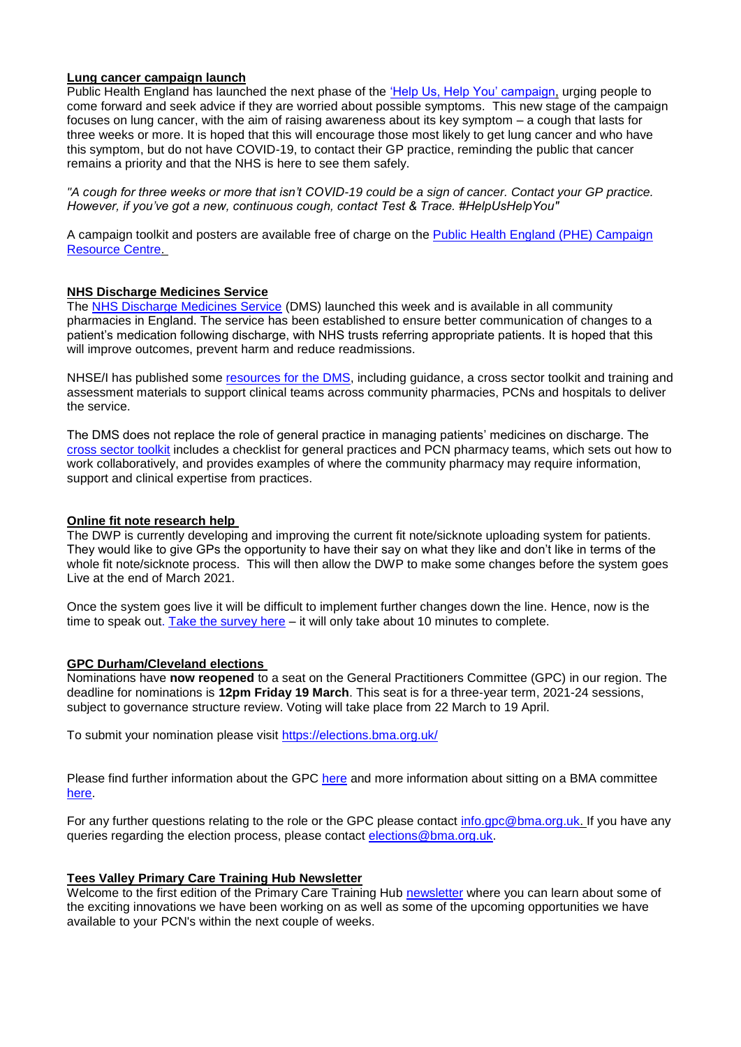## **Lung cancer campaign launch**

Public Health England has launched the next phase of the ['Help Us, Help You' campaign,](https://campaignresources.phe.gov.uk/resources/campaigns/120-help-us-help-you---lung-cancer-symptoms-/overview) urging people to come forward and seek advice if they are worried about possible symptoms. This new stage of the campaign focuses on lung cancer, with the aim of raising awareness about its key symptom – a cough that lasts for three weeks or more. It is hoped that this will encourage those most likely to get lung cancer and who have this symptom, but do not have COVID-19, to contact their GP practice, reminding the public that cancer remains a priority and that the NHS is here to see them safely.

*"A cough for three weeks or more that isn't COVID-19 could be a sign of cancer. Contact your GP practice. However, if you've got a new, continuous cough, contact Test & Trace. #HelpUsHelpYou"*

A campaign toolkit and posters are available free of charge on the **Public Health England (PHE) Campaign** [Resource Centre.](https://campaignresources.phe.gov.uk/resources/campaigns/120-help-us-help-you---lung-cancer-symptoms-/resources)

### **NHS Discharge Medicines Service**

The [NHS Discharge Medicines Service](https://www.england.nhs.uk/primary-care/pharmacy/nhs-discharge-medicines-service/) (DMS) launched this week and is available in all community pharmacies in England. The service has been established to ensure better communication of changes to a patient's medication following discharge, with NHS trusts referring appropriate patients. It is hoped that this will improve outcomes, prevent harm and reduce readmissions.

NHSE/I has published some [resources for the DMS,](https://www.england.nhs.uk/primary-care/pharmacy/nhs-discharge-medicines-service/) including guidance, a cross sector toolkit and training and assessment materials to support clinical teams across community pharmacies, PCNs and hospitals to deliver the service.

The DMS does not replace the role of general practice in managing patients' medicines on discharge. The [cross sector toolkit](https://www.england.nhs.uk/wp-content/uploads/2021/01/B0366-discharge-medicines-toolkit.pdf) includes a checklist for general practices and PCN pharmacy teams, which sets out how to work collaboratively, and provides examples of where the community pharmacy may require information, support and clinical expertise from practices.

### **Online fit note research help**

The DWP is currently developing and improving the current fit note/sicknote uploading system for patients. They would like to give GPs the opportunity to have their say on what they like and don't like in terms of the whole fit note/sicknote process. This will then allow the DWP to make some changes before the system goes Live at the end of March 2021.

Once the system goes live it will be difficult to implement further changes down the line. Hence, now is the time to speak ou[t. Take the survey here](https://hannahroseknowles.typeform.com/to/SqHmf3US) – it will only take about 10 minutes to complete.

#### **GPC Durham/Cleveland elections**

Nominations have **now reopened** to a seat on the General Practitioners Committee (GPC) in our region. The deadline for nominations is **12pm Friday 19 March**. This seat is for a three-year term, 2021-24 sessions, subject to governance structure review. Voting will take place from 22 March to 19 April.

To submit your nomination please visit<https://elections.bma.org.uk/>

Please find further information about the GPC [here](https://www.bma.org.uk/what-we-do/committees/general-practitioners-committee/general-practitioners-committee-uk-overview) and more information about sitting on a BMA committee [here.](https://www.bma.org.uk/what-we-do/committees/committee-information/taking-part-in-a-bma-committee)

For any further questions relating to the role or the GPC please contact [info.gpc@bma.org.uk.](mailto:info.gpc@bma.org.uk) If you have any queries regarding the election process, please contact [elections@bma.org.uk.](mailto:elections@bma.org.uk)

# **Tees Valley Primary Care Training Hub Newsletter**

Welcome to the first edition of the Primary Care Training Hub [newsletter](https://www.clevelandlmc.org.uk/website/IGP367/files/training.pdf) where you can learn about some of the exciting innovations we have been working on as well as some of the upcoming opportunities we have available to your PCN's within the next couple of weeks.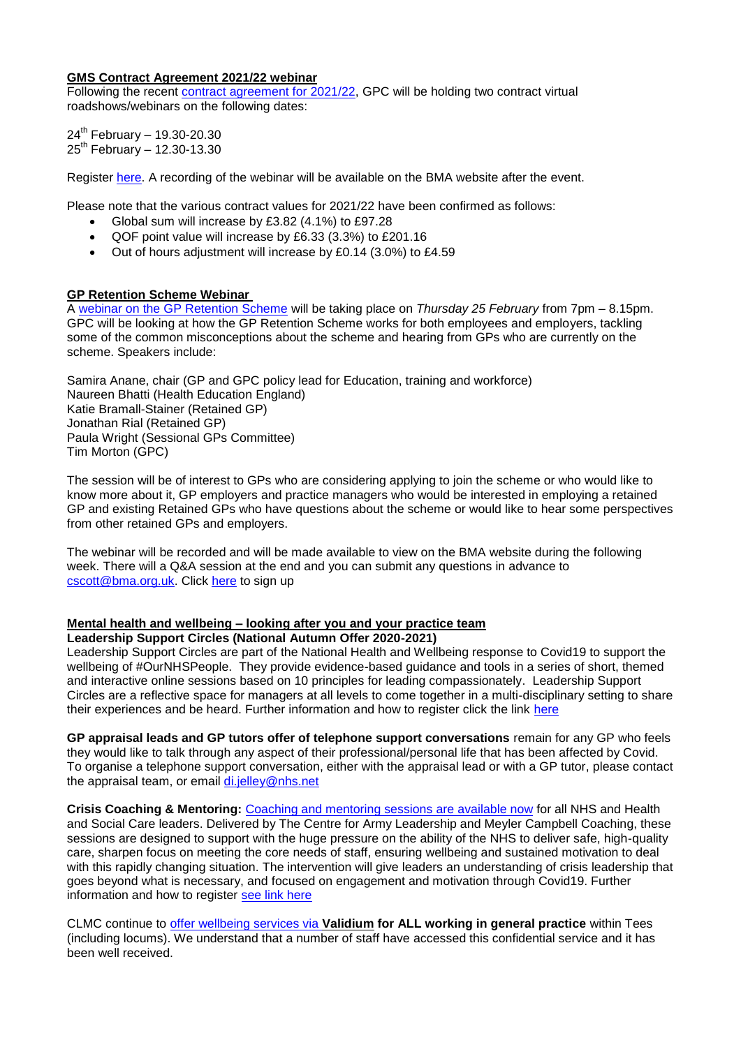#### **GMS Contract Agreement 2021/22 webinar**

Following the recent [contract agreement for 2021/22,](https://www.bma.org.uk/pay-and-contracts/contracts/gp-contract/gp-contract-england-20212022) GPC will be holding two contract virtual roadshows/webinars on the following dates:

 $24^{th}$  February - 19.30-20.30  $25^{th}$  February - 12.30-13.30

Register [here.](https://register.gotowebinar.com/rt/5527732449379810573) A recording of the webinar will be available on the BMA website after the event.

Please note that the various contract values for 2021/22 have been confirmed as follows:

- Global sum will increase by £3.82 (4.1%) to £97.28
- QOF point value will increase by £6.33 (3.3%) to £201.16
- Out of hours adjustment will increase by £0.14 (3.0%) to £4.59

# **GP Retention Scheme Webinar**

A [webinar on the GP Retention Scheme](https://www.bma.org.uk/events/gp-retention-scheme-webinar) will be taking place on *Thursday 25 February* from 7pm – 8.15pm. GPC will be looking at how the GP Retention Scheme works for both employees and employers, tackling some of the common misconceptions about the scheme and hearing from GPs who are currently on the scheme. Speakers include:

Samira Anane, chair (GP and GPC policy lead for Education, training and workforce) Naureen Bhatti (Health Education England) Katie Bramall-Stainer (Retained GP) Jonathan Rial (Retained GP) Paula Wright (Sessional GPs Committee) Tim Morton (GPC)

The session will be of interest to GPs who are considering applying to join the scheme or who would like to know more about it, GP employers and practice managers who would be interested in employing a retained GP and existing Retained GPs who have questions about the scheme or would like to hear some perspectives from other retained GPs and employers.

The webinar will be recorded and will be made available to view on the BMA website during the following week. There will a Q&A session at the end and you can submit any questions in advance to [cscott@bma.org.uk.](mailto:cscott@bma.org.uk) Click [here](https://attendee.gotowebinar.com/register/260773784388124176) to sign up

#### **Mental health and wellbeing – looking after you and your practice team**

## **Leadership Support Circles (National Autumn Offer 2020-2021)**

Leadership Support Circles are part of the National Health and Wellbeing response to Covid19 to support the wellbeing of #OurNHSPeople. They provide evidence-based guidance and tools in a series of short, themed and interactive online sessions based on 10 principles for leading compassionately. Leadership Support Circles are a reflective space for managers at all levels to come together in a multi-disciplinary setting to share their experiences and be heard. Further information and how to register click the link [here](https://people.nhs.uk/event/leadership-circles-autumn-series/)

**GP appraisal leads and GP tutors offer of telephone support conversations** remain for any GP who feels they would like to talk through any aspect of their professional/personal life that has been affected by Covid. To organise a telephone support conversation, either with the appraisal lead or with a GP tutor, please contact the appraisal team, or email [di.jelley@nhs.net](mailto:di.jelley@nhs.net)

**Crisis Coaching & Mentoring:** [Coaching and mentoring sessions are available now](https://nhs.us5.list-manage.com/track/click?u=2bb00c8eecef5a74724810a2d&id=5697e08ec5&e=1f76f620d3) for all NHS and Health and Social Care leaders. Delivered by The Centre for Army Leadership and Meyler Campbell Coaching, these sessions are designed to support with the huge pressure on the ability of the NHS to deliver safe, high-quality care, sharpen focus on meeting the core needs of staff, ensuring wellbeing and sustained motivation to deal with this rapidly changing situation. The intervention will give leaders an understanding of crisis leadership that goes beyond what is necessary, and focused on engagement and motivation through Covid19. Further information and how to register [see link here](https://people.nhs.uk/support-for-leaders/coaching-and-mentoring-for-leaders/)

CLMC continue to [offer wellbeing services via](https://www.clevelandlmc.org.uk/page1.aspx?p=20&t=2) **Validium for ALL working in general practice** within Tees (including locums). We understand that a number of staff have accessed this confidential service and it has been well received.